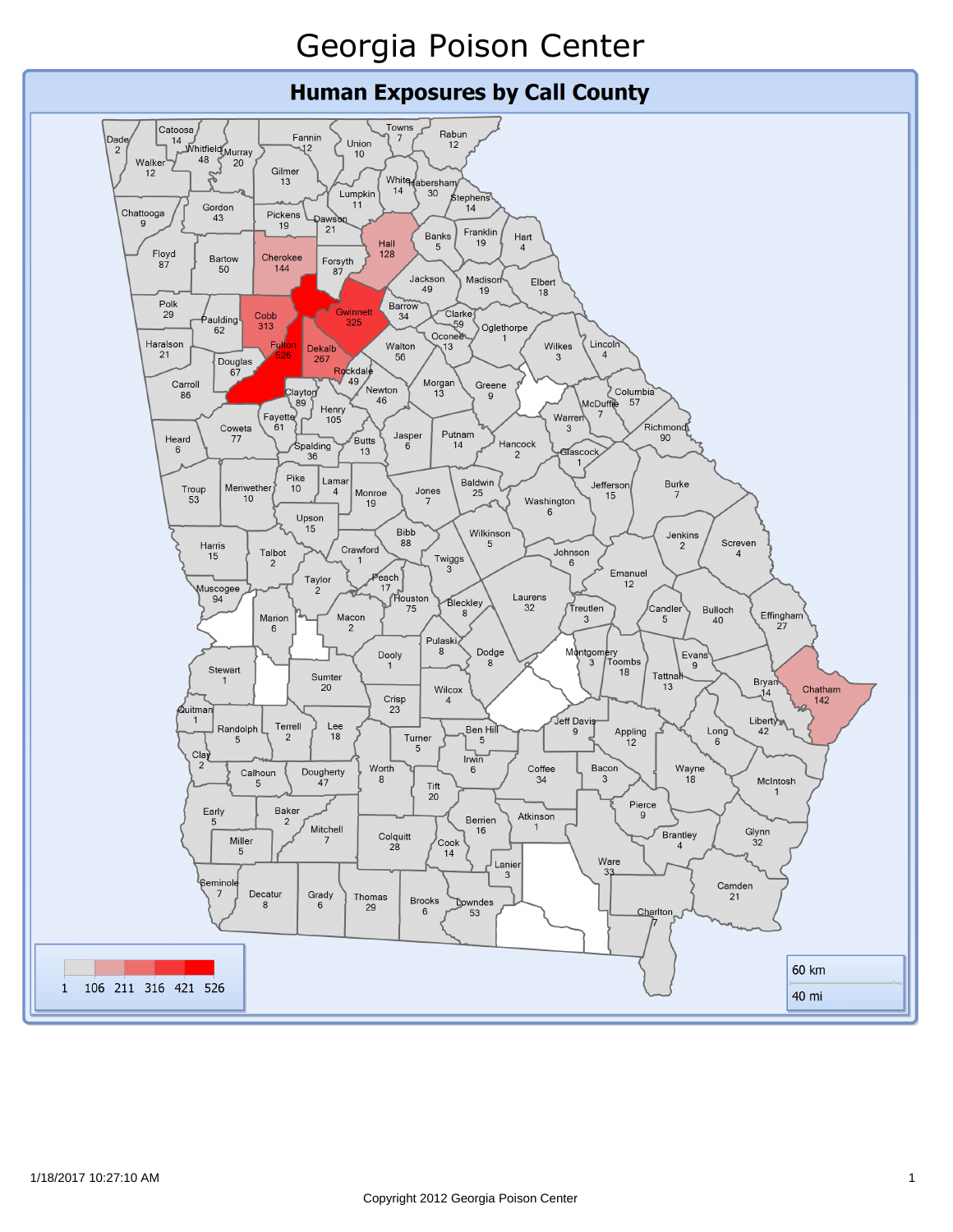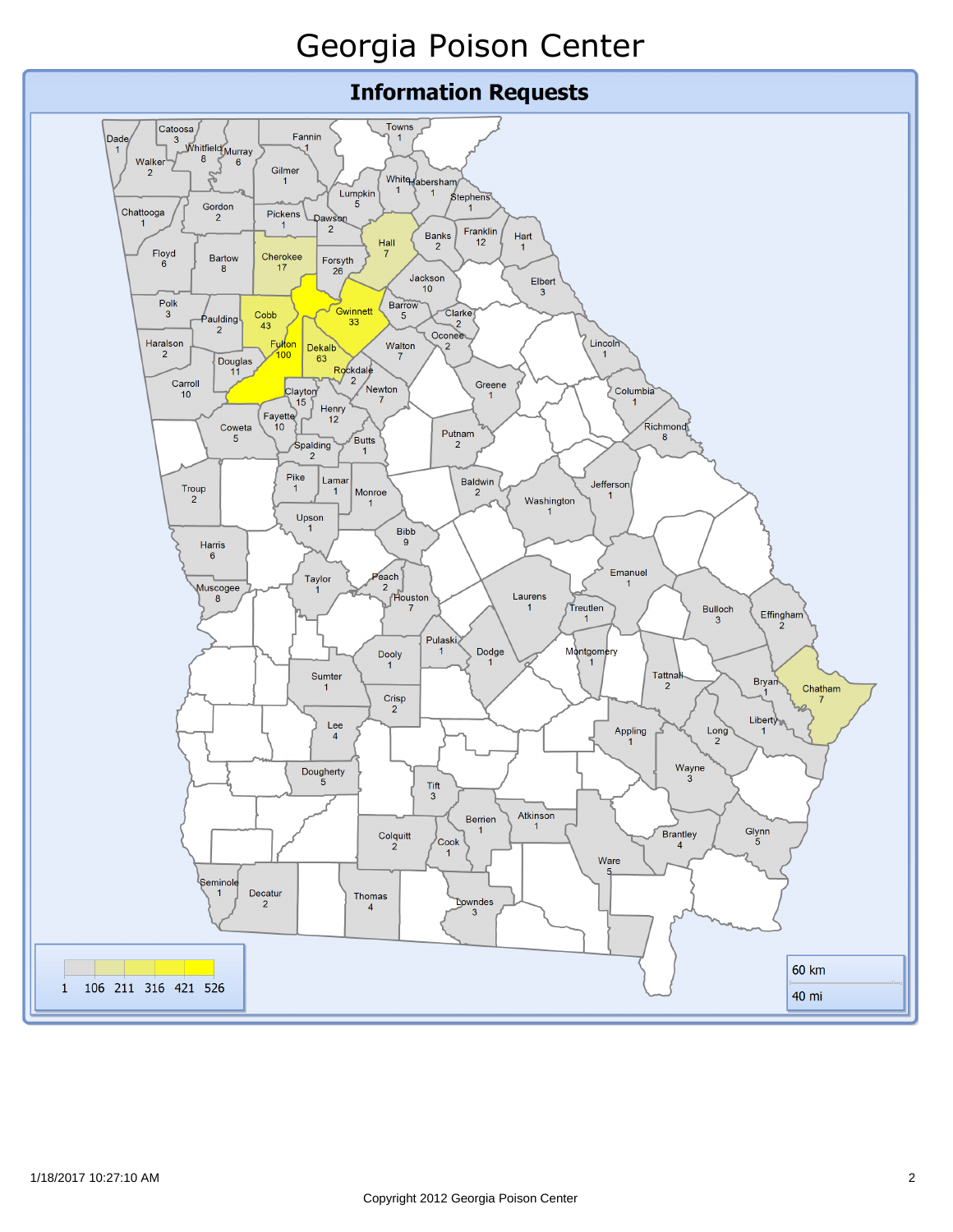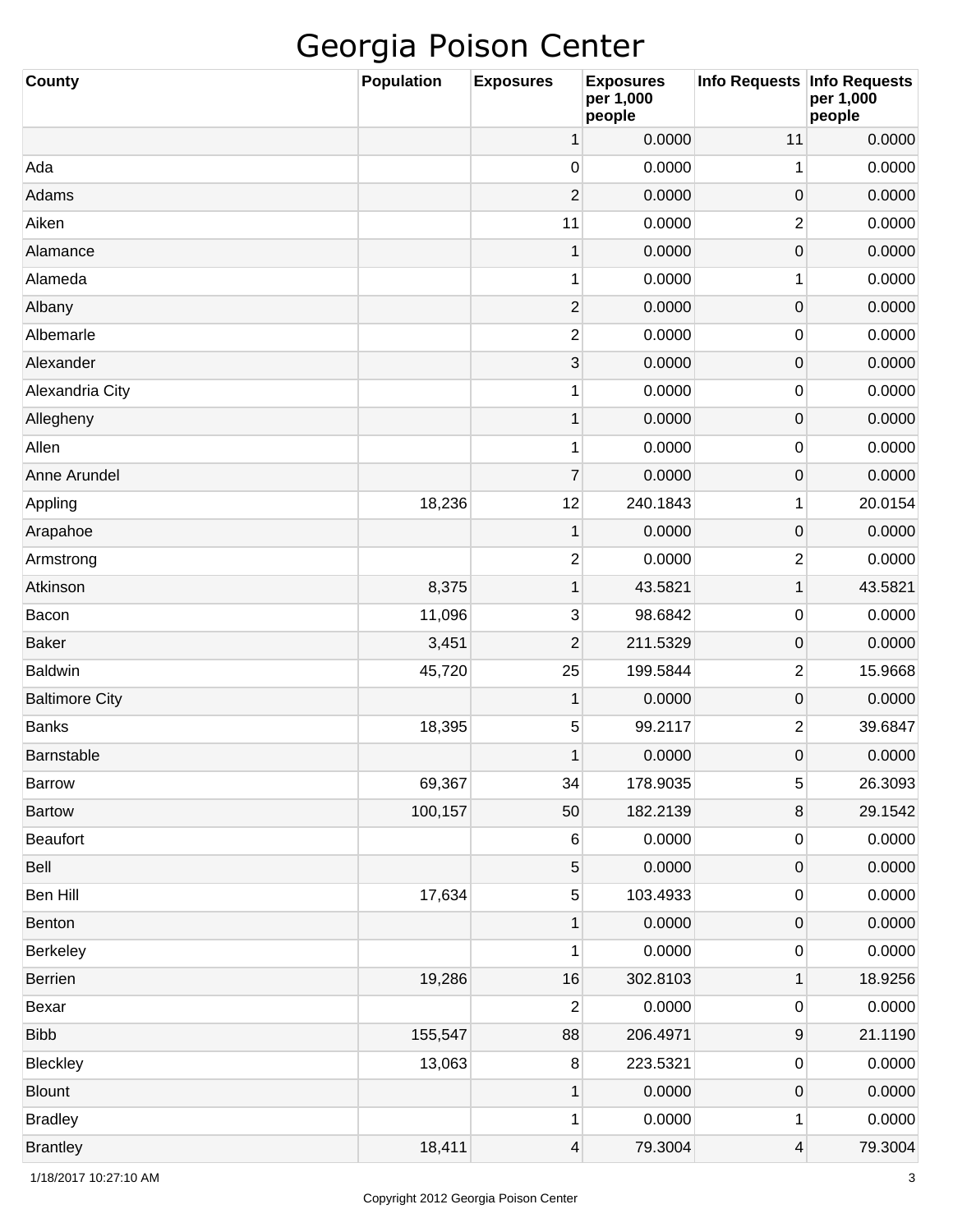| <b>County</b>         | Population | <b>Exposures</b>        | <b>Exposures</b><br>per 1,000<br>people | Info Requests Info Requests | per 1,000<br>people |
|-----------------------|------------|-------------------------|-----------------------------------------|-----------------------------|---------------------|
|                       |            | 1                       | 0.0000                                  | 11                          | 0.0000              |
| Ada                   |            | 0                       | 0.0000                                  | 1                           | 0.0000              |
| Adams                 |            | $\overline{2}$          | 0.0000                                  | $\mathbf 0$                 | 0.0000              |
| Aiken                 |            | 11                      | 0.0000                                  | $\overline{2}$              | 0.0000              |
| Alamance              |            | $\mathbf 1$             | 0.0000                                  | $\mathbf 0$                 | 0.0000              |
| Alameda               |            | 1                       | 0.0000                                  | 1                           | 0.0000              |
| Albany                |            | $\overline{\mathbf{c}}$ | 0.0000                                  | $\mathbf 0$                 | 0.0000              |
| Albemarle             |            | 2                       | 0.0000                                  | $\mathbf 0$                 | 0.0000              |
| Alexander             |            | 3                       | 0.0000                                  | $\mathbf 0$                 | 0.0000              |
| Alexandria City       |            | 1                       | 0.0000                                  | $\mathbf 0$                 | 0.0000              |
| Allegheny             |            | $\mathbf 1$             | 0.0000                                  | $\mathbf 0$                 | 0.0000              |
| Allen                 |            | 1                       | 0.0000                                  | $\mathbf 0$                 | 0.0000              |
| Anne Arundel          |            | $\overline{7}$          | 0.0000                                  | $\mathbf 0$                 | 0.0000              |
| Appling               | 18,236     | 12                      | 240.1843                                | 1                           | 20.0154             |
| Arapahoe              |            | 1                       | 0.0000                                  | $\mathbf 0$                 | 0.0000              |
| Armstrong             |            | 2                       | 0.0000                                  | $\overline{2}$              | 0.0000              |
| Atkinson              | 8,375      | $\mathbf{1}$            | 43.5821                                 | 1                           | 43.5821             |
| Bacon                 | 11,096     | 3                       | 98.6842                                 | $\mathbf 0$                 | 0.0000              |
| <b>Baker</b>          | 3,451      | 2                       | 211.5329                                | $\mathbf 0$                 | 0.0000              |
| <b>Baldwin</b>        | 45,720     | 25                      | 199.5844                                | $\overline{2}$              | 15.9668             |
| <b>Baltimore City</b> |            | 1                       | 0.0000                                  | $\mathbf 0$                 | 0.0000              |
| <b>Banks</b>          | 18,395     | 5                       | 99.2117                                 | $\overline{2}$              | 39.6847             |
| Barnstable            |            | 1                       | 0.0000                                  | $\mathbf 0$                 | 0.0000              |
| <b>Barrow</b>         | 69,367     | 34                      | 178.9035                                | 5                           | 26.3093             |
| <b>Bartow</b>         | 100,157    | 50                      | 182.2139                                | 8                           | 29.1542             |
| Beaufort              |            | 6                       | 0.0000                                  | $\pmb{0}$                   | 0.0000              |
| Bell                  |            | 5                       | 0.0000                                  | $\pmb{0}$                   | 0.0000              |
| Ben Hill              | 17,634     | 5                       | 103.4933                                | $\pmb{0}$                   | 0.0000              |
| Benton                |            | $\mathbf 1$             | 0.0000                                  | $\pmb{0}$                   | 0.0000              |
| Berkeley              |            | 1                       | 0.0000                                  | $\pmb{0}$                   | 0.0000              |
| Berrien               | 19,286     | 16                      | 302.8103                                | 1                           | 18.9256             |
| Bexar                 |            | 2                       | 0.0000                                  | $\pmb{0}$                   | 0.0000              |
| <b>Bibb</b>           | 155,547    | 88                      | 206.4971                                | $\boldsymbol{9}$            | 21.1190             |
| Bleckley              | 13,063     | $\,8\,$                 | 223.5321                                | $\pmb{0}$                   | 0.0000              |
| <b>Blount</b>         |            | $\mathbf 1$             | 0.0000                                  | $\pmb{0}$                   | 0.0000              |
| <b>Bradley</b>        |            | 1                       | 0.0000                                  | 1                           | 0.0000              |
| <b>Brantley</b>       | 18,411     | $\overline{4}$          | 79.3004                                 | 4                           | 79.3004             |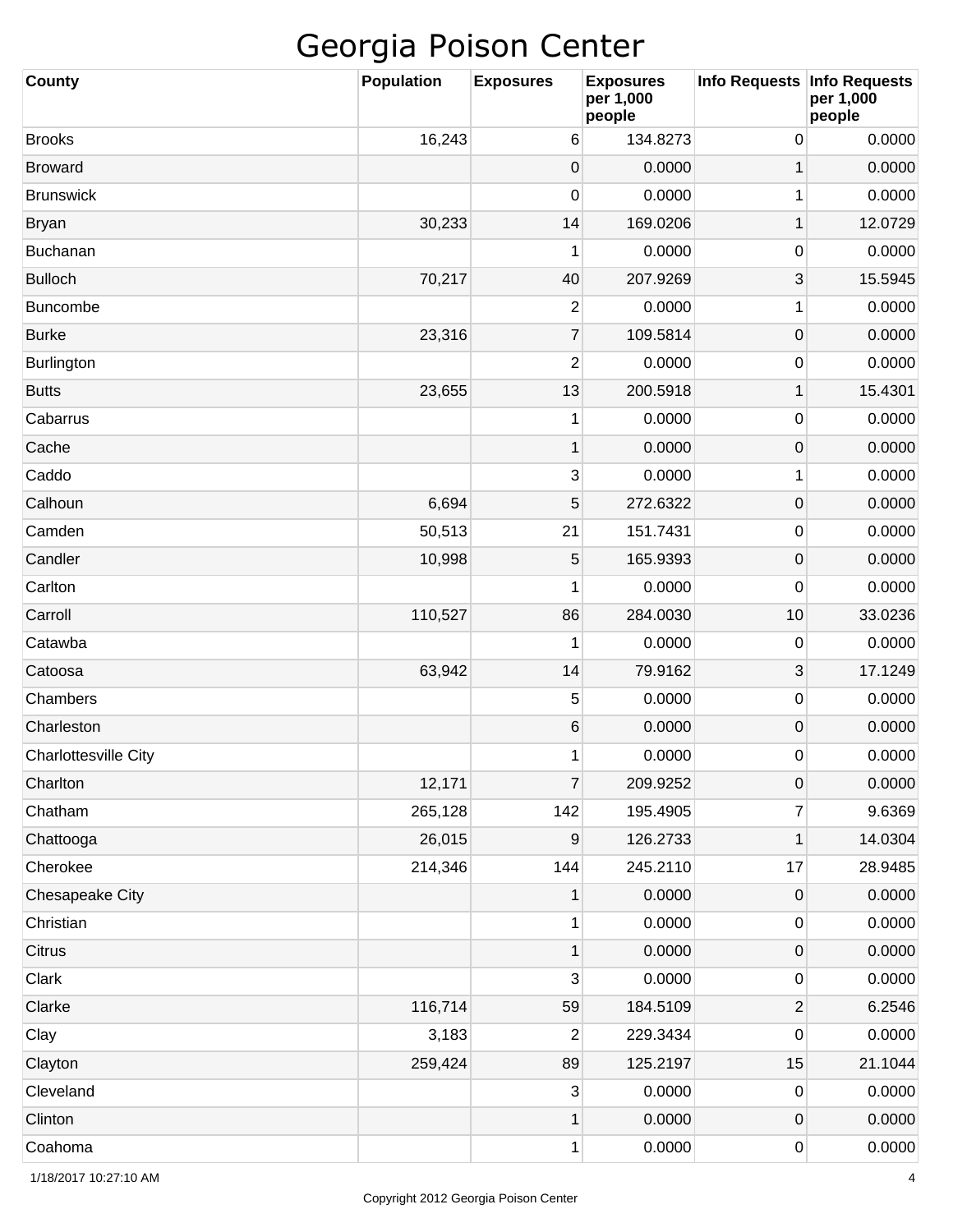| <b>County</b>               | <b>Population</b> | <b>Exposures</b> | <b>Exposures</b><br>per 1,000<br>people | Info Requests   Info Requests | per 1,000<br>people |
|-----------------------------|-------------------|------------------|-----------------------------------------|-------------------------------|---------------------|
| <b>Brooks</b>               | 16,243            | 6                | 134.8273                                | 0                             | 0.0000              |
| <b>Broward</b>              |                   | 0                | 0.0000                                  | 1                             | 0.0000              |
| <b>Brunswick</b>            |                   | 0                | 0.0000                                  | 1                             | 0.0000              |
| <b>Bryan</b>                | 30,233            | 14               | 169.0206                                | 1                             | 12.0729             |
| Buchanan                    |                   | 1                | 0.0000                                  | 0                             | 0.0000              |
| <b>Bulloch</b>              | 70,217            | 40               | 207.9269                                | 3                             | 15.5945             |
| <b>Buncombe</b>             |                   | $\overline{c}$   | 0.0000                                  | 1                             | 0.0000              |
| <b>Burke</b>                | 23,316            | $\overline{7}$   | 109.5814                                | 0                             | 0.0000              |
| Burlington                  |                   | $\mathbf{2}$     | 0.0000                                  | 0                             | 0.0000              |
| <b>Butts</b>                | 23,655            | 13               | 200.5918                                | 1                             | 15.4301             |
| Cabarrus                    |                   | 1                | 0.0000                                  | 0                             | 0.0000              |
| Cache                       |                   | 1                | 0.0000                                  | 0                             | 0.0000              |
| Caddo                       |                   | 3                | 0.0000                                  | 1                             | 0.0000              |
| Calhoun                     | 6,694             | 5                | 272.6322                                | 0                             | 0.0000              |
| Camden                      | 50,513            | 21               | 151.7431                                | 0                             | 0.0000              |
| Candler                     | 10,998            | 5                | 165.9393                                | 0                             | 0.0000              |
| Carlton                     |                   | 1                | 0.0000                                  | 0                             | 0.0000              |
| Carroll                     | 110,527           | 86               | 284.0030                                | 10                            | 33.0236             |
| Catawba                     |                   | 1                | 0.0000                                  | 0                             | 0.0000              |
| Catoosa                     | 63,942            | 14               | 79.9162                                 | 3                             | 17.1249             |
| Chambers                    |                   | 5                | 0.0000                                  | 0                             | 0.0000              |
| Charleston                  |                   | $\,6$            | 0.0000                                  | 0                             | 0.0000              |
| <b>Charlottesville City</b> |                   | 1                | 0.0000                                  | 0                             | 0.0000              |
| Charlton                    | 12,171            | $\overline{7}$   | 209.9252                                | $\mathsf 0$                   | 0.0000              |
| Chatham                     | 265,128           | 142              | 195.4905                                | 7                             | 9.6369              |
| Chattooga                   | 26,015            | 9                | 126.2733                                | 1                             | 14.0304             |
| Cherokee                    | 214,346           | 144              | 245.2110                                | 17                            | 28.9485             |
| Chesapeake City             |                   | $\mathbf{1}$     | 0.0000                                  | 0                             | 0.0000              |
| Christian                   |                   | 1                | 0.0000                                  | 0                             | 0.0000              |
| Citrus                      |                   | $\mathbf{1}$     | 0.0000                                  | 0                             | 0.0000              |
| Clark                       |                   | $\mathbf{3}$     | 0.0000                                  | 0                             | 0.0000              |
| Clarke                      | 116,714           | 59               | 184.5109                                | $\mathbf 2$                   | 6.2546              |
| Clay                        | 3,183             | 2                | 229.3434                                | 0                             | 0.0000              |
| Clayton                     | 259,424           | 89               | 125.2197                                | 15                            | 21.1044             |
| Cleveland                   |                   | 3                | 0.0000                                  | 0                             | 0.0000              |
| Clinton                     |                   | $\mathbf{1}$     | 0.0000                                  | 0                             | 0.0000              |
| Coahoma                     |                   | 1                | 0.0000                                  | 0                             | 0.0000              |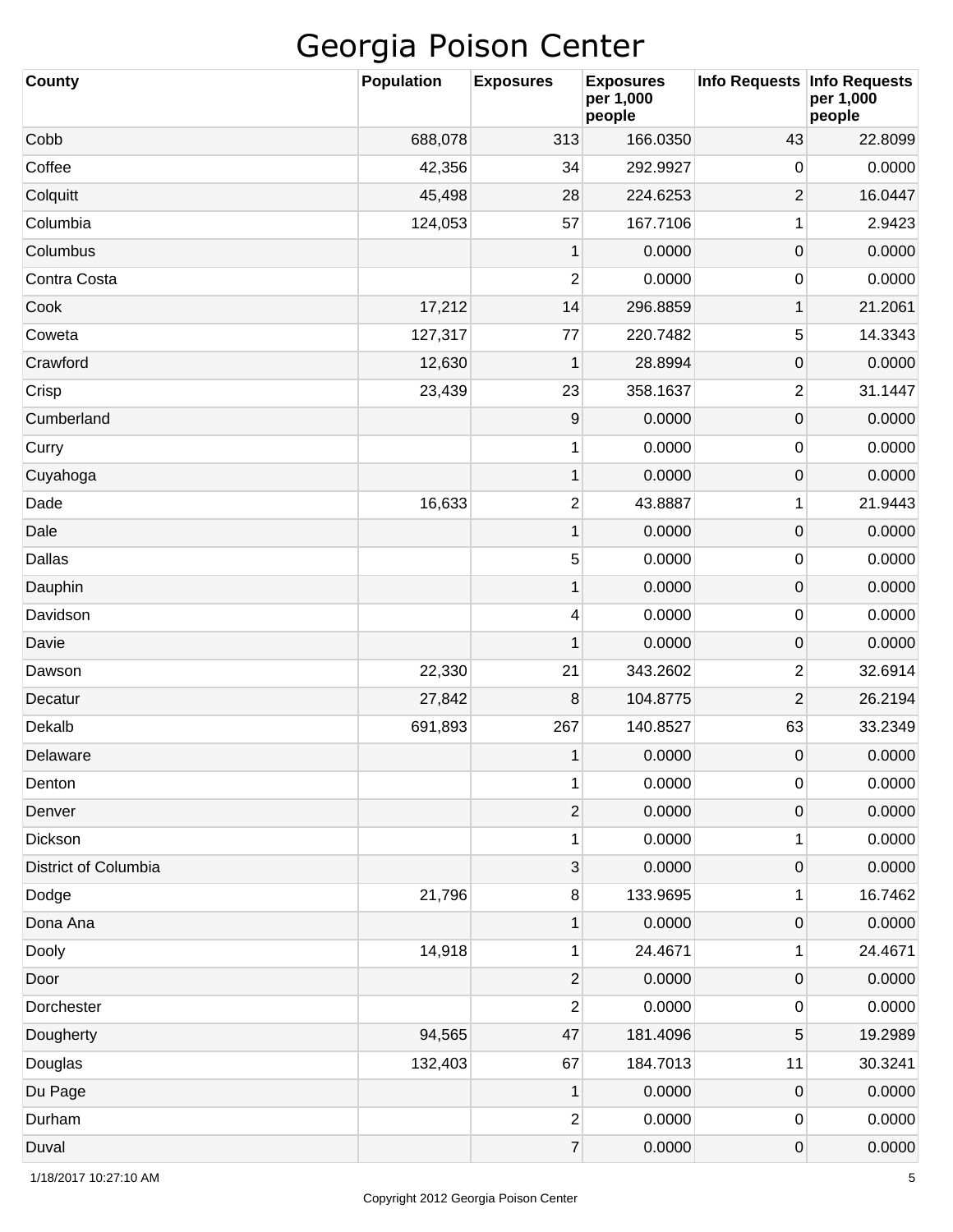| <b>County</b>        | <b>Population</b> | <b>Exposures</b>        | <b>Exposures</b><br>per 1,000<br>people | Info Requests   Info Requests | per 1,000<br>people |
|----------------------|-------------------|-------------------------|-----------------------------------------|-------------------------------|---------------------|
| Cobb                 | 688,078           | 313                     | 166.0350                                | 43                            | 22.8099             |
| Coffee               | 42,356            | 34                      | 292.9927                                | 0                             | 0.0000              |
| Colquitt             | 45,498            | 28                      | 224.6253                                | $\overline{2}$                | 16.0447             |
| Columbia             | 124,053           | 57                      | 167.7106                                | 1                             | 2.9423              |
| Columbus             |                   | 1                       | 0.0000                                  | $\mathsf{O}\xspace$           | 0.0000              |
| Contra Costa         |                   | $\mathbf{2}$            | 0.0000                                  | 0                             | 0.0000              |
| Cook                 | 17,212            | 14                      | 296.8859                                | $\mathbf 1$                   | 21.2061             |
| Coweta               | 127,317           | 77                      | 220.7482                                | 5                             | 14.3343             |
| Crawford             | 12,630            | 1                       | 28.8994                                 | $\mathsf{O}\xspace$           | 0.0000              |
| Crisp                | 23,439            | 23                      | 358.1637                                | $\overline{2}$                | 31.1447             |
| Cumberland           |                   | $\boldsymbol{9}$        | 0.0000                                  | $\mathsf{O}\xspace$           | 0.0000              |
| Curry                |                   | 1                       | 0.0000                                  | 0                             | 0.0000              |
| Cuyahoga             |                   | $\mathbf{1}$            | 0.0000                                  | $\mathsf{O}\xspace$           | 0.0000              |
| Dade                 | 16,633            | $\mathbf{2}$            | 43.8887                                 | 1                             | 21.9443             |
| Dale                 |                   | $\mathbf{1}$            | 0.0000                                  | $\mathsf{O}\xspace$           | 0.0000              |
| Dallas               |                   | 5                       | 0.0000                                  | 0                             | 0.0000              |
| Dauphin              |                   | $\mathbf{1}$            | 0.0000                                  | $\mathsf{O}\xspace$           | 0.0000              |
| Davidson             |                   | 4                       | 0.0000                                  | 0                             | 0.0000              |
| Davie                |                   | 1                       | 0.0000                                  | $\mathsf{O}\xspace$           | 0.0000              |
| Dawson               | 22,330            | 21                      | 343.2602                                | $\overline{c}$                | 32.6914             |
| Decatur              | 27,842            | 8                       | 104.8775                                | $\overline{2}$                | 26.2194             |
| Dekalb               | 691,893           | 267                     | 140.8527                                | 63                            | 33.2349             |
| Delaware             |                   | 1                       | 0.0000                                  | 0                             | 0.0000              |
| Denton               |                   | 1                       | 0.0000                                  | 0                             | 0.0000              |
| Denver               |                   | $\mathbf{2}$            | 0.0000                                  | $\mathsf{O}\xspace$           | 0.0000              |
| Dickson              |                   | 1                       | 0.0000                                  | 1                             | 0.0000              |
| District of Columbia |                   | 3                       | 0.0000                                  | $\mathsf{O}\xspace$           | 0.0000              |
| Dodge                | 21,796            | $\bf 8$                 | 133.9695                                | 1                             | 16.7462             |
| Dona Ana             |                   | 1                       | 0.0000                                  | $\mathsf{O}\xspace$           | 0.0000              |
| Dooly                | 14,918            | 1                       | 24.4671                                 | 1                             | 24.4671             |
| Door                 |                   | $\mathbf{2}$            | 0.0000                                  | $\mathsf{O}\xspace$           | 0.0000              |
| Dorchester           |                   | $\overline{\mathbf{c}}$ | 0.0000                                  | 0                             | 0.0000              |
| Dougherty            | 94,565            | 47                      | 181.4096                                | 5                             | 19.2989             |
| Douglas              | 132,403           | 67                      | 184.7013                                | 11                            | 30.3241             |
| Du Page              |                   | 1                       | 0.0000                                  | $\mathsf{O}\xspace$           | 0.0000              |
| Durham               |                   | $\overline{c}$          | 0.0000                                  | 0                             | 0.0000              |
| Duval                |                   | $\boldsymbol{7}$        | 0.0000                                  | 0                             | 0.0000              |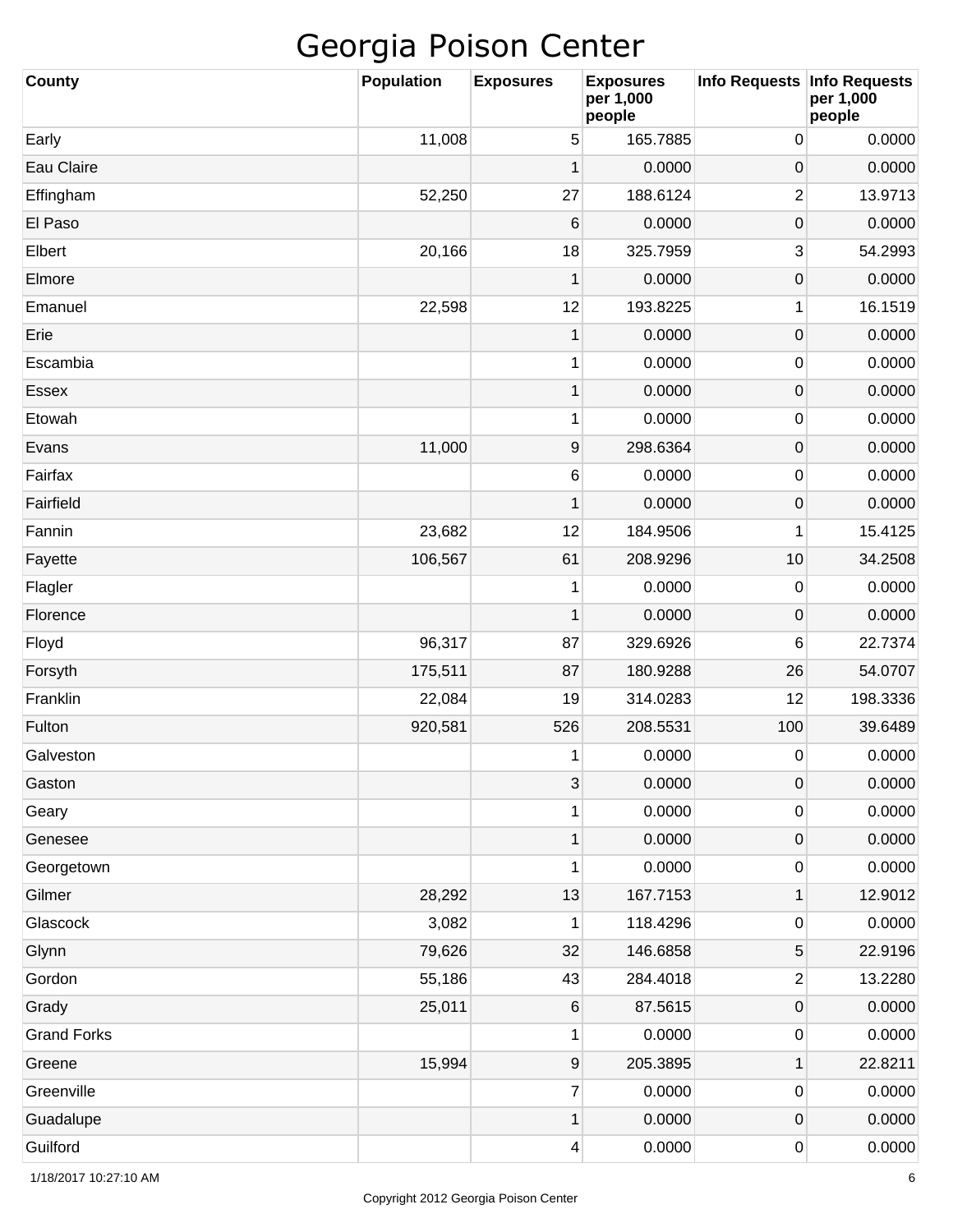| County             | <b>Population</b> | <b>Exposures</b>          | <b>Exposures</b><br>per 1,000<br>people | Info Requests           | <b>Info Requests</b><br>per 1,000<br>people |
|--------------------|-------------------|---------------------------|-----------------------------------------|-------------------------|---------------------------------------------|
| Early              | 11,008            | 5                         | 165.7885                                | 0                       | 0.0000                                      |
| Eau Claire         |                   | 1                         | 0.0000                                  | 0                       | 0.0000                                      |
| Effingham          | 52,250            | 27                        | 188.6124                                | $\overline{c}$          | 13.9713                                     |
| El Paso            |                   | 6                         | 0.0000                                  | 0                       | 0.0000                                      |
| Elbert             | 20,166            | 18                        | 325.7959                                | 3                       | 54.2993                                     |
| Elmore             |                   | 1                         | 0.0000                                  | 0                       | 0.0000                                      |
| Emanuel            | 22,598            | 12                        | 193.8225                                | 1                       | 16.1519                                     |
| Erie               |                   | 1                         | 0.0000                                  | 0                       | 0.0000                                      |
| Escambia           |                   | 1                         | 0.0000                                  | 0                       | 0.0000                                      |
| Essex              |                   | 1                         | 0.0000                                  | 0                       | 0.0000                                      |
| Etowah             |                   | 1                         | 0.0000                                  | 0                       | 0.0000                                      |
| Evans              | 11,000            | 9                         | 298.6364                                | 0                       | 0.0000                                      |
| Fairfax            |                   | $\,6\,$                   | 0.0000                                  | 0                       | 0.0000                                      |
| Fairfield          |                   | 1                         | 0.0000                                  | 0                       | 0.0000                                      |
| Fannin             | 23,682            | 12                        | 184.9506                                | 1                       | 15.4125                                     |
| Fayette            | 106,567           | 61                        | 208.9296                                | 10                      | 34.2508                                     |
| Flagler            |                   | 1                         | 0.0000                                  | 0                       | 0.0000                                      |
| Florence           |                   | 1                         | 0.0000                                  | 0                       | 0.0000                                      |
| Floyd              | 96,317            | 87                        | 329.6926                                | 6                       | 22.7374                                     |
| Forsyth            | 175,511           | 87                        | 180.9288                                | 26                      | 54.0707                                     |
| Franklin           | 22,084            | 19                        | 314.0283                                | 12                      | 198.3336                                    |
| Fulton             | 920,581           | 526                       | 208.5531                                | 100                     | 39.6489                                     |
| Galveston          |                   | 1                         | 0.0000                                  | 0                       | 0.0000                                      |
| Gaston             |                   | $\ensuremath{\mathsf{3}}$ | 0.0000                                  | $\mathsf{O}\xspace$     | 0.0000                                      |
| Geary              |                   | 1                         | 0.0000                                  | 0                       | 0.0000                                      |
| Genesee            |                   | 1                         | 0.0000                                  | $\mathsf{O}\xspace$     | 0.0000                                      |
| Georgetown         |                   | 1                         | 0.0000                                  | 0                       | 0.0000                                      |
| Gilmer             | 28,292            | 13                        | 167.7153                                | 1                       | 12.9012                                     |
| Glascock           | 3,082             | 1                         | 118.4296                                | 0                       | 0.0000                                      |
| Glynn              | 79,626            | 32                        | 146.6858                                | 5                       | 22.9196                                     |
| Gordon             | 55,186            | 43                        | 284.4018                                | $\overline{\mathbf{c}}$ | 13.2280                                     |
| Grady              | 25,011            | $\,6$                     | 87.5615                                 | $\mathsf{O}\xspace$     | 0.0000                                      |
| <b>Grand Forks</b> |                   | 1                         | 0.0000                                  | 0                       | 0.0000                                      |
| Greene             | 15,994            | $\boldsymbol{9}$          | 205.3895                                | 1                       | 22.8211                                     |
| Greenville         |                   | $\overline{7}$            | 0.0000                                  | 0                       | 0.0000                                      |
| Guadalupe          |                   | 1                         | 0.0000                                  | $\mathsf{O}\xspace$     | 0.0000                                      |
| Guilford           |                   | 4                         | 0.0000                                  | 0                       | 0.0000                                      |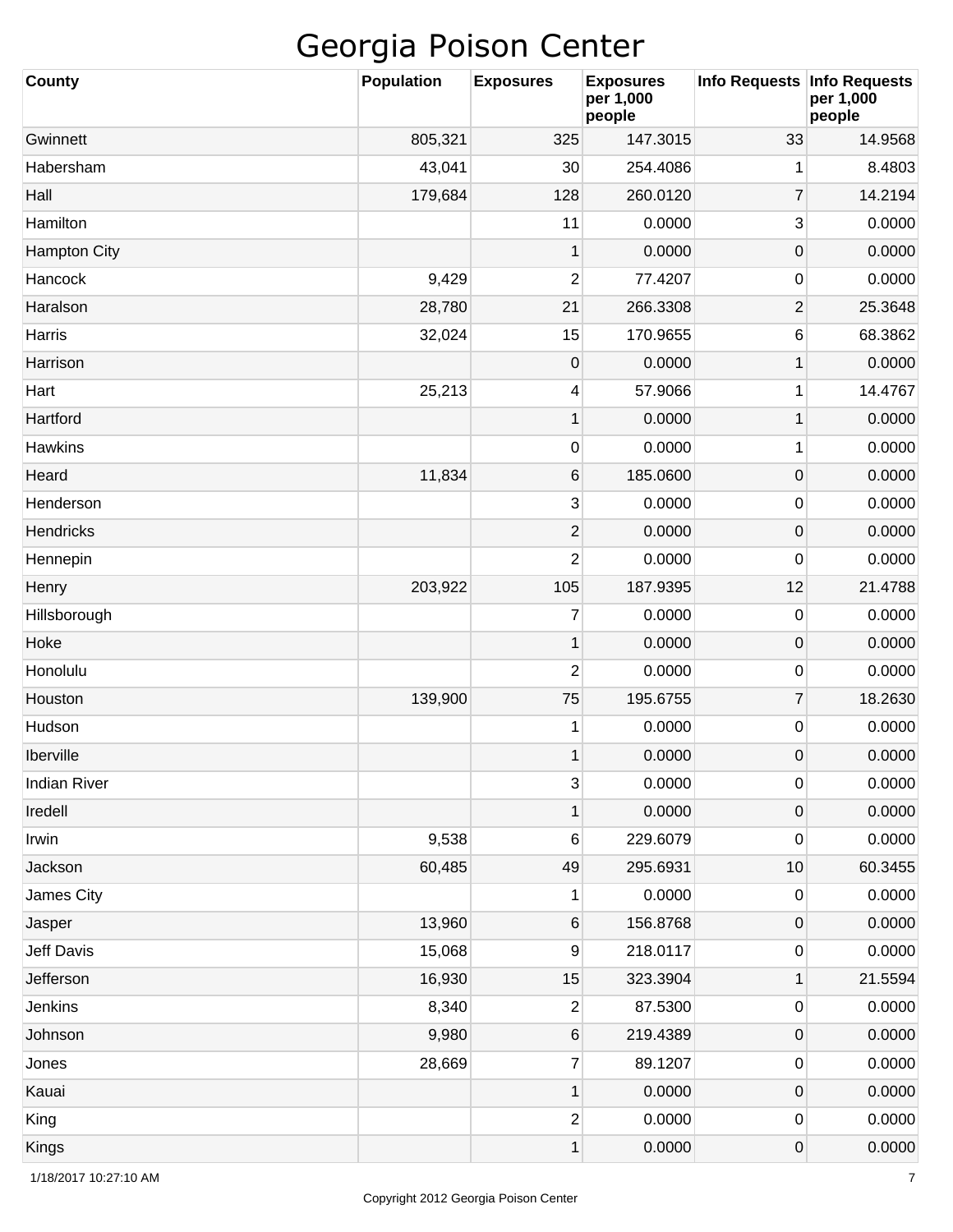| <b>County</b>       | <b>Population</b> | <b>Exposures</b>    | <b>Exposures</b><br>per 1,000<br>people | Info Requests   Info Requests | per 1,000<br>people |
|---------------------|-------------------|---------------------|-----------------------------------------|-------------------------------|---------------------|
| Gwinnett            | 805,321           | 325                 | 147.3015                                | 33                            | 14.9568             |
| Habersham           | 43,041            | 30                  | 254.4086                                | 1                             | 8.4803              |
| Hall                | 179,684           | 128                 | 260.0120                                | $\overline{7}$                | 14.2194             |
| Hamilton            |                   | 11                  | 0.0000                                  | 3                             | 0.0000              |
| <b>Hampton City</b> |                   | 1                   | 0.0000                                  | $\mathsf{O}\xspace$           | 0.0000              |
| Hancock             | 9,429             | $\overline{c}$      | 77.4207                                 | 0                             | 0.0000              |
| Haralson            | 28,780            | 21                  | 266.3308                                | $\overline{c}$                | 25.3648             |
| Harris              | 32,024            | 15                  | 170.9655                                | 6                             | 68.3862             |
| Harrison            |                   | $\mathsf{O}\xspace$ | 0.0000                                  | 1                             | 0.0000              |
| Hart                | 25,213            | 4                   | 57.9066                                 | 1                             | 14.4767             |
| Hartford            |                   | $\mathbf 1$         | 0.0000                                  | 1                             | 0.0000              |
| <b>Hawkins</b>      |                   | 0                   | 0.0000                                  | 1                             | 0.0000              |
| Heard               | 11,834            | $\,6\,$             | 185.0600                                | $\mathsf{O}\xspace$           | 0.0000              |
| Henderson           |                   | 3                   | 0.0000                                  | 0                             | 0.0000              |
| <b>Hendricks</b>    |                   | $\overline{2}$      | 0.0000                                  | $\mathsf{O}\xspace$           | 0.0000              |
| Hennepin            |                   | $\overline{c}$      | 0.0000                                  | 0                             | 0.0000              |
| Henry               | 203,922           | 105                 | 187.9395                                | 12                            | 21.4788             |
| Hillsborough        |                   | $\overline{7}$      | 0.0000                                  | 0                             | 0.0000              |
| Hoke                |                   | $\mathbf 1$         | 0.0000                                  | $\mathsf{O}\xspace$           | 0.0000              |
| Honolulu            |                   | 2                   | 0.0000                                  | 0                             | 0.0000              |
| Houston             | 139,900           | 75                  | 195.6755                                | $\overline{7}$                | 18.2630             |
| Hudson              |                   | 1                   | 0.0000                                  | 0                             | 0.0000              |
| Iberville           |                   | 1                   | 0.0000                                  | $\mathbf 0$                   | 0.0000              |
| <b>Indian River</b> |                   | $\mathbf{3}$        | 0.0000                                  | 0                             | 0.0000              |
| Iredell             |                   | 1                   | 0.0000                                  | $\mathsf{O}\xspace$           | 0.0000              |
| Irwin               | 9,538             | 6                   | 229.6079                                | 0                             | 0.0000              |
| Jackson             | 60,485            | 49                  | 295.6931                                | 10                            | 60.3455             |
| James City          |                   | 1                   | 0.0000                                  | 0                             | 0.0000              |
| Jasper              | 13,960            | 6                   | 156.8768                                | $\mathsf{O}\xspace$           | 0.0000              |
| Jeff Davis          | 15,068            | 9                   | 218.0117                                | 0                             | 0.0000              |
| Jefferson           | 16,930            | 15                  | 323.3904                                | $\mathbf 1$                   | 21.5594             |
| Jenkins             | 8,340             | $\overline{2}$      | 87.5300                                 | 0                             | 0.0000              |
| Johnson             | 9,980             | 6                   | 219.4389                                | $\mathsf{O}\xspace$           | 0.0000              |
| Jones               | 28,669            | $\overline{7}$      | 89.1207                                 | 0                             | 0.0000              |
| Kauai               |                   | 1                   | 0.0000                                  | $\mathsf{O}\xspace$           | 0.0000              |
| King                |                   | $\overline{2}$      | 0.0000                                  | 0                             | 0.0000              |
| Kings               |                   | 1                   | 0.0000                                  | 0                             | 0.0000              |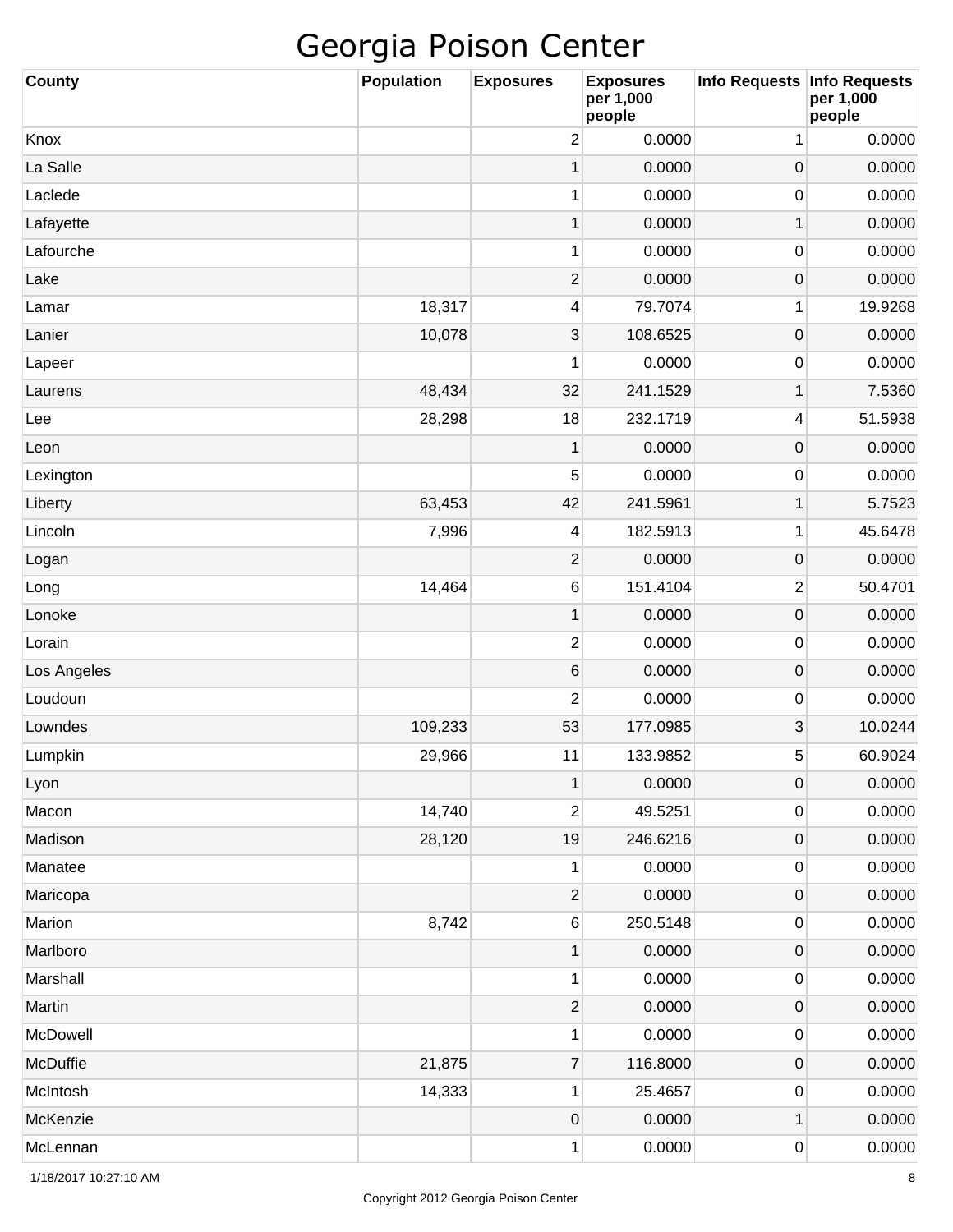| <b>County</b> | <b>Population</b> | <b>Exposures</b>         | <b>Exposures</b><br>per 1,000<br>people | <b>Info Requests</b> | <b>Info Requests</b><br>per 1,000<br>people |
|---------------|-------------------|--------------------------|-----------------------------------------|----------------------|---------------------------------------------|
| Knox          |                   | $\overline{\mathbf{c}}$  | 0.0000                                  | 1                    | 0.0000                                      |
| La Salle      |                   | 1                        | 0.0000                                  | $\mathbf 0$          | 0.0000                                      |
| Laclede       |                   | 1                        | 0.0000                                  | 0                    | 0.0000                                      |
| Lafayette     |                   | $\mathbf 1$              | 0.0000                                  | 1                    | 0.0000                                      |
| Lafourche     |                   | 1                        | 0.0000                                  | 0                    | 0.0000                                      |
| Lake          |                   | $\overline{2}$           | 0.0000                                  | $\boldsymbol{0}$     | 0.0000                                      |
| Lamar         | 18,317            | 4                        | 79.7074                                 | 1                    | 19.9268                                     |
| Lanier        | 10,078            | 3                        | 108.6525                                | $\mathbf 0$          | 0.0000                                      |
| Lapeer        |                   | 1                        | 0.0000                                  | 0                    | 0.0000                                      |
| Laurens       | 48,434            | 32                       | 241.1529                                | 1                    | 7.5360                                      |
| Lee           | 28,298            | 18                       | 232.1719                                | 4                    | 51.5938                                     |
| Leon          |                   | $\mathbf 1$              | 0.0000                                  | $\mathbf 0$          | 0.0000                                      |
| Lexington     |                   | 5                        | 0.0000                                  | 0                    | 0.0000                                      |
| Liberty       | 63,453            | 42                       | 241.5961                                | 1                    | 5.7523                                      |
| Lincoln       | 7,996             | 4                        | 182.5913                                | 1                    | 45.6478                                     |
| Logan         |                   | $\overline{2}$           | 0.0000                                  | $\mathbf 0$          | 0.0000                                      |
| Long          | 14,464            | 6                        | 151.4104                                | $\overline{c}$       | 50.4701                                     |
| Lonoke        |                   | $\mathbf 1$              | 0.0000                                  | $\mathbf 0$          | 0.0000                                      |
| Lorain        |                   | $\overline{2}$           | 0.0000                                  | 0                    | 0.0000                                      |
| Los Angeles   |                   | 6                        | 0.0000                                  | $\mathbf 0$          | 0.0000                                      |
| Loudoun       |                   | $\overline{c}$           | 0.0000                                  | 0                    | 0.0000                                      |
| Lowndes       | 109,233           | 53                       | 177.0985                                | 3                    | 10.0244                                     |
| Lumpkin       | 29,966            | 11                       | 133.9852                                | 5                    | 60.9024                                     |
| Lyon          |                   | $\mathbf 1$              | 0.0000                                  | $\mathbf 0$          | 0.0000                                      |
| Macon         | 14,740            | $\overline{\mathbf{c}}$  | 49.5251                                 | 0                    | 0.0000                                      |
| Madison       | 28,120            | 19                       | 246.6216                                | $\boldsymbol{0}$     | 0.0000                                      |
| Manatee       |                   | 1                        | 0.0000                                  | 0                    | 0.0000                                      |
| Maricopa      |                   | $\overline{\mathbf{c}}$  | 0.0000                                  | $\boldsymbol{0}$     | 0.0000                                      |
| Marion        | 8,742             | 6                        | 250.5148                                | 0                    | 0.0000                                      |
| Marlboro      |                   | $\mathbf 1$              | 0.0000                                  | $\boldsymbol{0}$     | 0.0000                                      |
| Marshall      |                   | 1                        | 0.0000                                  | 0                    | 0.0000                                      |
| Martin        |                   | $\overline{c}$           | 0.0000                                  | $\boldsymbol{0}$     | 0.0000                                      |
| McDowell      |                   | 1                        | 0.0000                                  | 0                    | 0.0000                                      |
| McDuffie      | 21,875            | $\overline{\mathcal{I}}$ | 116.8000                                | $\boldsymbol{0}$     | 0.0000                                      |
| McIntosh      | 14,333            | 1                        | 25.4657                                 | 0                    | 0.0000                                      |
| McKenzie      |                   | $\pmb{0}$                | 0.0000                                  | 1                    | 0.0000                                      |
| McLennan      |                   | 1                        | 0.0000                                  | 0                    | 0.0000                                      |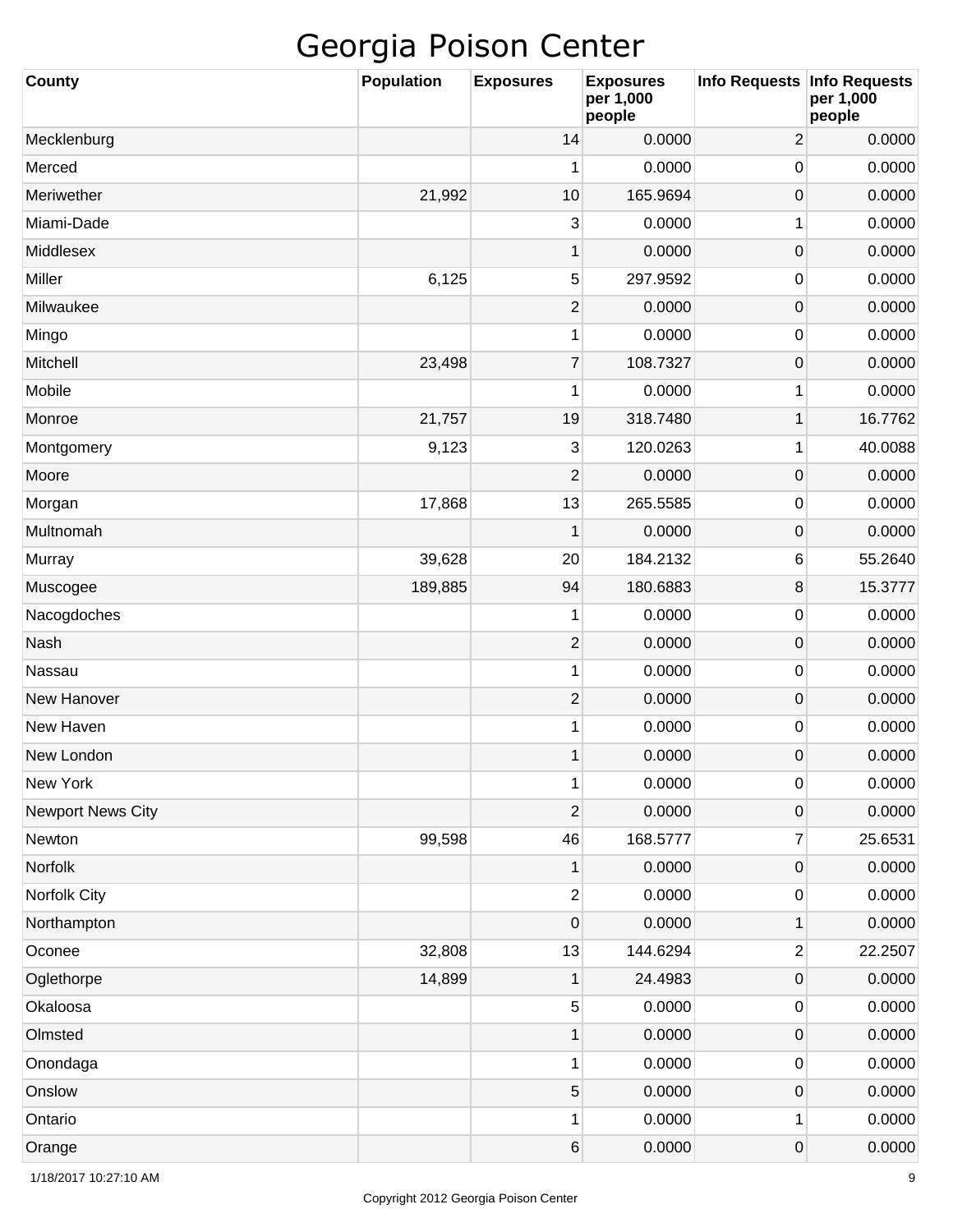| <b>County</b>            | <b>Population</b> | <b>Exposures</b>        | <b>Exposures</b><br>per 1,000<br>people | <b>Info Requests</b>    | <b>Info Requests</b><br>per 1,000<br>people |
|--------------------------|-------------------|-------------------------|-----------------------------------------|-------------------------|---------------------------------------------|
| Mecklenburg              |                   | 14                      | 0.0000                                  | $\overline{2}$          | 0.0000                                      |
| Merced                   |                   | 1                       | 0.0000                                  | 0                       | 0.0000                                      |
| Meriwether               | 21,992            | 10                      | 165.9694                                | $\mathsf{O}\xspace$     | 0.0000                                      |
| Miami-Dade               |                   | 3                       | 0.0000                                  | 1                       | 0.0000                                      |
| Middlesex                |                   | 1                       | 0.0000                                  | $\mathsf{O}\xspace$     | 0.0000                                      |
| Miller                   | 6,125             | 5                       | 297.9592                                | 0                       | 0.0000                                      |
| Milwaukee                |                   | $\overline{2}$          | 0.0000                                  | $\mathsf{O}\xspace$     | 0.0000                                      |
| Mingo                    |                   | 1                       | 0.0000                                  | 0                       | 0.0000                                      |
| Mitchell                 | 23,498            | $\overline{7}$          | 108.7327                                | $\mathsf{O}\xspace$     | 0.0000                                      |
| Mobile                   |                   | 1                       | 0.0000                                  | 1                       | 0.0000                                      |
| Monroe                   | 21,757            | 19                      | 318.7480                                | $\mathbf 1$             | 16.7762                                     |
| Montgomery               | 9,123             | 3                       | 120.0263                                | 1                       | 40.0088                                     |
| Moore                    |                   | $\overline{2}$          | 0.0000                                  | $\mathsf{O}\xspace$     | 0.0000                                      |
| Morgan                   | 17,868            | 13                      | 265.5585                                | 0                       | 0.0000                                      |
| Multnomah                |                   | 1                       | 0.0000                                  | $\mathsf{O}\xspace$     | 0.0000                                      |
| Murray                   | 39,628            | 20                      | 184.2132                                | 6                       | 55.2640                                     |
| Muscogee                 | 189,885           | 94                      | 180.6883                                | 8                       | 15.3777                                     |
| Nacogdoches              |                   | 1                       | 0.0000                                  | 0                       | 0.0000                                      |
| Nash                     |                   | $\overline{2}$          | 0.0000                                  | $\mathsf{O}\xspace$     | 0.0000                                      |
| Nassau                   |                   | 1                       | 0.0000                                  | 0                       | 0.0000                                      |
| New Hanover              |                   | $\overline{2}$          | 0.0000                                  | $\mathsf{O}\xspace$     | 0.0000                                      |
| New Haven                |                   | 1                       | 0.0000                                  | 0                       | 0.0000                                      |
| New London               |                   | 1                       | 0.0000                                  | $\mathsf 0$             | 0.0000                                      |
| New York                 |                   | 1                       | 0.0000                                  | 0                       | 0.0000                                      |
| <b>Newport News City</b> |                   | $\overline{\mathbf{c}}$ | 0.0000                                  | $\mathsf{O}\xspace$     | 0.0000                                      |
| Newton                   | 99,598            | 46                      | 168.5777                                | 7                       | 25.6531                                     |
| Norfolk                  |                   | 1                       | 0.0000                                  | $\mathsf{O}\xspace$     | 0.0000                                      |
| Norfolk City             |                   | $\overline{2}$          | 0.0000                                  | 0                       | 0.0000                                      |
| Northampton              |                   | $\boldsymbol{0}$        | 0.0000                                  | $\mathbf 1$             | 0.0000                                      |
| Oconee                   | 32,808            | 13                      | 144.6294                                | $\overline{\mathbf{c}}$ | 22.2507                                     |
| Oglethorpe               | 14,899            | 1                       | 24.4983                                 | $\mathsf{O}\xspace$     | 0.0000                                      |
| Okaloosa                 |                   | $5\overline{)}$         | 0.0000                                  | 0                       | 0.0000                                      |
| Olmsted                  |                   | 1                       | 0.0000                                  | $\mathsf{O}\xspace$     | 0.0000                                      |
| Onondaga                 |                   | 1                       | 0.0000                                  | 0                       | 0.0000                                      |
| Onslow                   |                   | $\mathbf 5$             | 0.0000                                  | $\mathsf{O}\xspace$     | 0.0000                                      |
| Ontario                  |                   | 1                       | 0.0000                                  | 1                       | 0.0000                                      |
| Orange                   |                   | $\,$ 6 $\,$             | 0.0000                                  | $\mathsf{O}\xspace$     | 0.0000                                      |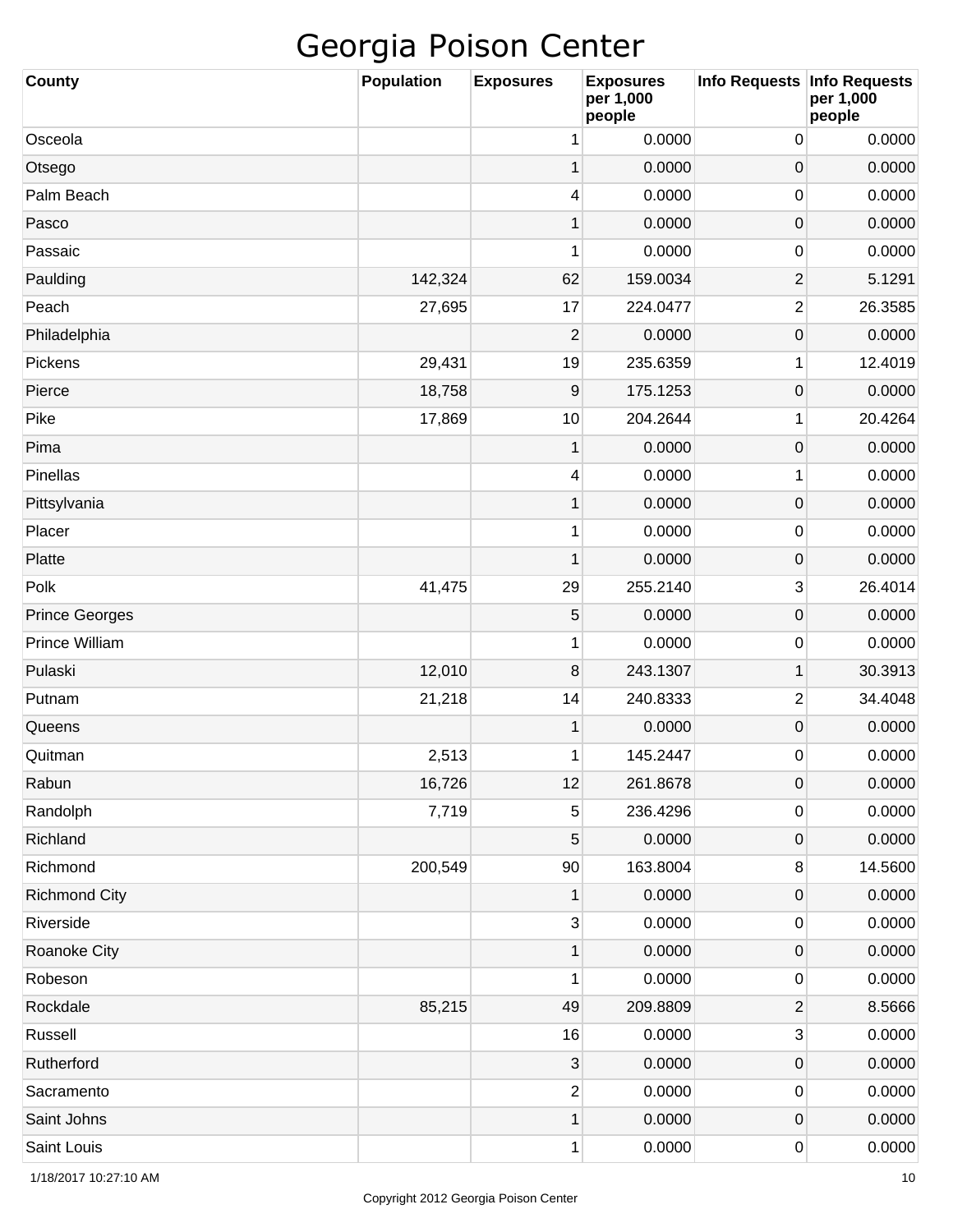| <b>County</b>         | Population | <b>Exposures</b>        | <b>Exposures</b><br>per 1,000<br>people | Info Requests Info Requests | per 1,000<br>people |
|-----------------------|------------|-------------------------|-----------------------------------------|-----------------------------|---------------------|
| Osceola               |            | 1                       | 0.0000                                  | 0                           | 0.0000              |
| Otsego                |            | 1                       | 0.0000                                  | 0                           | 0.0000              |
| Palm Beach            |            | 4                       | 0.0000                                  | 0                           | 0.0000              |
| Pasco                 |            | 1                       | 0.0000                                  | 0                           | 0.0000              |
| Passaic               |            | 1                       | 0.0000                                  | 0                           | 0.0000              |
| Paulding              | 142,324    | 62                      | 159.0034                                | 2                           | 5.1291              |
| Peach                 | 27,695     | 17                      | 224.0477                                | 2                           | 26.3585             |
| Philadelphia          |            | 2                       | 0.0000                                  | 0                           | 0.0000              |
| Pickens               | 29,431     | 19                      | 235.6359                                | 1                           | 12.4019             |
| Pierce                | 18,758     | 9                       | 175.1253                                | 0                           | 0.0000              |
| Pike                  | 17,869     | 10                      | 204.2644                                | 1                           | 20.4264             |
| Pima                  |            | 1                       | 0.0000                                  | 0                           | 0.0000              |
| Pinellas              |            | 4                       | 0.0000                                  | 1                           | 0.0000              |
| Pittsylvania          |            | 1                       | 0.0000                                  | 0                           | 0.0000              |
| Placer                |            | 1                       | 0.0000                                  | 0                           | 0.0000              |
| Platte                |            | 1                       | 0.0000                                  | 0                           | 0.0000              |
| Polk                  | 41,475     | 29                      | 255.2140                                | 3                           | 26.4014             |
| <b>Prince Georges</b> |            | 5                       | 0.0000                                  | 0                           | 0.0000              |
| Prince William        |            | 1                       | 0.0000                                  | 0                           | 0.0000              |
| Pulaski               | 12,010     | 8                       | 243.1307                                | 1                           | 30.3913             |
| Putnam                | 21,218     | 14                      | 240.8333                                | 2                           | 34.4048             |
| Queens                |            | 1                       | 0.0000                                  | 0                           | 0.0000              |
| Quitman               | 2,513      | 1                       | 145.2447                                | 0                           | 0.0000              |
| Rabun                 | 16,726     | 12                      | 261.8678                                | $\pmb{0}$                   | 0.0000              |
| Randolph              | 7,719      | 5                       | 236.4296                                | 0                           | 0.0000              |
| Richland              |            | 5                       | 0.0000                                  | 0                           | 0.0000              |
| Richmond              | 200,549    | 90                      | 163.8004                                | 8                           | 14.5600             |
| <b>Richmond City</b>  |            | 1                       | 0.0000                                  | 0                           | 0.0000              |
| Riverside             |            | $\sqrt{3}$              | 0.0000                                  | 0                           | 0.0000              |
| Roanoke City          |            | 1                       | 0.0000                                  | 0                           | 0.0000              |
| Robeson               |            | 1                       | 0.0000                                  | 0                           | 0.0000              |
| Rockdale              | 85,215     | 49                      | 209.8809                                | 2                           | 8.5666              |
| Russell               |            | 16                      | 0.0000                                  | 3                           | 0.0000              |
| Rutherford            |            | 3                       | 0.0000                                  | 0                           | 0.0000              |
| Sacramento            |            | $\overline{\mathbf{c}}$ | 0.0000                                  | 0                           | 0.0000              |
| Saint Johns           |            | $\mathbf 1$             | 0.0000                                  | 0                           | 0.0000              |
| Saint Louis           |            | 1                       | 0.0000                                  | 0                           | 0.0000              |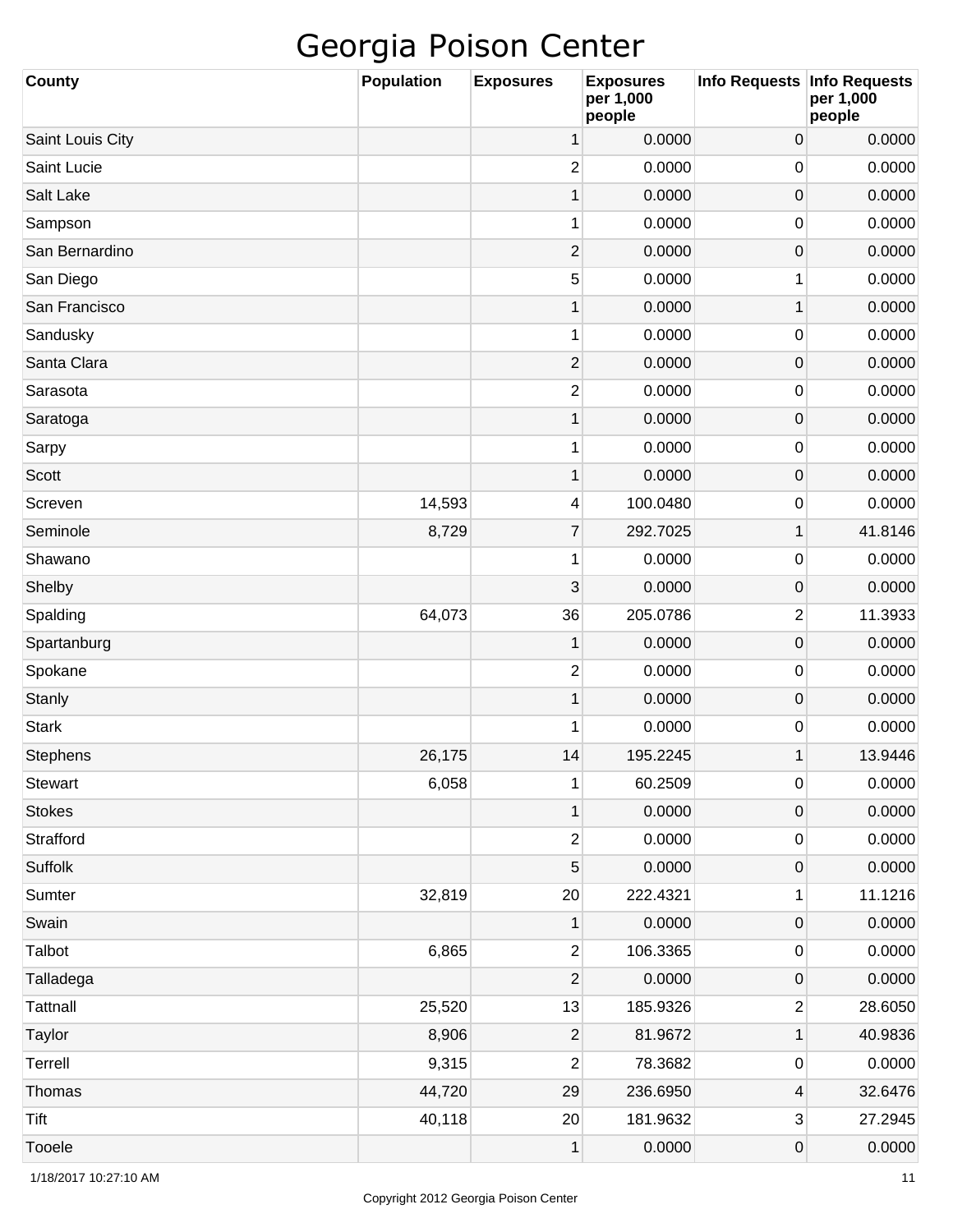| <b>County</b>    | <b>Population</b> | <b>Exposures</b>        | <b>Exposures</b><br>per 1,000<br>people | Info Requests Info Requests | per 1,000<br>people |
|------------------|-------------------|-------------------------|-----------------------------------------|-----------------------------|---------------------|
| Saint Louis City |                   | 1                       | 0.0000                                  | $\mathbf 0$                 | 0.0000              |
| Saint Lucie      |                   | 2                       | 0.0000                                  | $\mathbf 0$                 | 0.0000              |
| Salt Lake        |                   | $\mathbf{1}$            | 0.0000                                  | $\mathbf 0$                 | 0.0000              |
| Sampson          |                   | 1                       | 0.0000                                  | $\mathbf 0$                 | 0.0000              |
| San Bernardino   |                   | $\overline{\mathbf{c}}$ | 0.0000                                  | $\mathbf 0$                 | 0.0000              |
| San Diego        |                   | 5                       | 0.0000                                  | 1                           | 0.0000              |
| San Francisco    |                   | $\mathbf{1}$            | 0.0000                                  | 1                           | 0.0000              |
| Sandusky         |                   | 1                       | 0.0000                                  | $\mathbf 0$                 | 0.0000              |
| Santa Clara      |                   | $\overline{\mathbf{c}}$ | 0.0000                                  | $\mathbf 0$                 | 0.0000              |
| Sarasota         |                   | 2                       | 0.0000                                  | $\mathbf 0$                 | 0.0000              |
| Saratoga         |                   | $\mathbf{1}$            | 0.0000                                  | $\mathbf 0$                 | 0.0000              |
| Sarpy            |                   | 1                       | 0.0000                                  | $\mathbf 0$                 | 0.0000              |
| Scott            |                   | $\mathbf 1$             | 0.0000                                  | $\mathbf 0$                 | 0.0000              |
| Screven          | 14,593            | 4                       | 100.0480                                | $\mathbf 0$                 | 0.0000              |
| Seminole         | 8,729             | $\overline{7}$          | 292.7025                                | 1                           | 41.8146             |
| Shawano          |                   | 1                       | 0.0000                                  | $\mathbf 0$                 | 0.0000              |
| Shelby           |                   | 3                       | 0.0000                                  | $\mathbf 0$                 | 0.0000              |
| Spalding         | 64,073            | 36                      | 205.0786                                | $\overline{2}$              | 11.3933             |
| Spartanburg      |                   | 1                       | 0.0000                                  | $\pmb{0}$                   | 0.0000              |
| Spokane          |                   | 2                       | 0.0000                                  | $\mathbf 0$                 | 0.0000              |
| Stanly           |                   | $\mathbf{1}$            | 0.0000                                  | $\pmb{0}$                   | 0.0000              |
| <b>Stark</b>     |                   | 1                       | 0.0000                                  | $\mathbf 0$                 | 0.0000              |
| Stephens         | 26,175            | 14                      | 195.2245                                | 1                           | 13.9446             |
| Stewart          | 6,058             | 1                       | 60.2509                                 | $\pmb{0}$                   | 0.0000              |
| <b>Stokes</b>    |                   | $\mathbf{1}$            | 0.0000                                  | $\pmb{0}$                   | 0.0000              |
| Strafford        |                   | $\overline{2}$          | 0.0000                                  | $\pmb{0}$                   | 0.0000              |
| Suffolk          |                   | 5                       | 0.0000                                  | $\pmb{0}$                   | 0.0000              |
| Sumter           | 32,819            | $20\,$                  | 222.4321                                | 1                           | 11.1216             |
| Swain            |                   | 1                       | 0.0000                                  | $\pmb{0}$                   | 0.0000              |
| Talbot           | 6,865             | $\mathbf{2}$            | 106.3365                                | $\pmb{0}$                   | 0.0000              |
| Talladega        |                   | 2                       | 0.0000                                  | $\pmb{0}$                   | 0.0000              |
| Tattnall         | 25,520            | 13                      | 185.9326                                | $\boldsymbol{2}$            | 28.6050             |
| Taylor           | 8,906             | 2                       | 81.9672                                 | 1                           | 40.9836             |
| Terrell          | 9,315             | 2                       | 78.3682                                 | $\pmb{0}$                   | 0.0000              |
| Thomas           | 44,720            | 29                      | 236.6950                                | 4                           | 32.6476             |
| <b>Tift</b>      | 40,118            | 20                      | 181.9632                                | $\sqrt{3}$                  | 27.2945             |
| Tooele           |                   | $\mathbf{1}$            | 0.0000                                  | $\pmb{0}$                   | 0.0000              |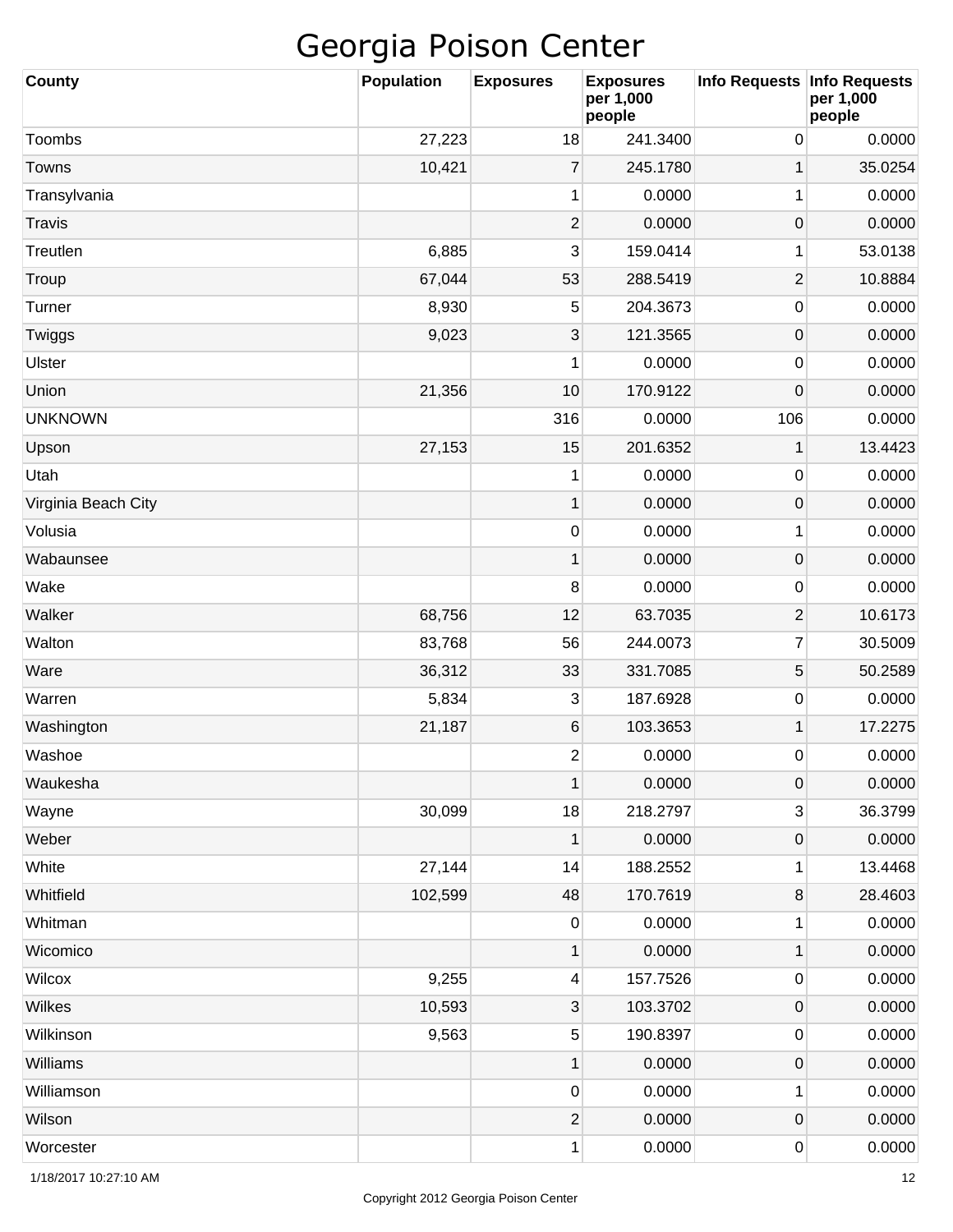| <b>County</b>       | <b>Population</b> | <b>Exposures</b> | <b>Exposures</b><br>per 1,000<br>people | Info Requests   Info Requests | per 1,000<br>people |
|---------------------|-------------------|------------------|-----------------------------------------|-------------------------------|---------------------|
| Toombs              | 27,223            | 18               | 241.3400                                | 0                             | 0.0000              |
| Towns               | 10,421            | $\overline{7}$   | 245.1780                                | $\mathbf 1$                   | 35.0254             |
| Transylvania        |                   | 1                | 0.0000                                  | 1                             | 0.0000              |
| Travis              |                   | $\overline{2}$   | 0.0000                                  | 0                             | 0.0000              |
| Treutlen            | 6,885             | 3                | 159.0414                                | 1                             | 53.0138             |
| Troup               | 67,044            | 53               | 288.5419                                | $\mathbf{2}$                  | 10.8884             |
| Turner              | 8,930             | 5                | 204.3673                                | 0                             | 0.0000              |
| Twiggs              | 9,023             | 3                | 121.3565                                | 0                             | 0.0000              |
| Ulster              |                   | 1                | 0.0000                                  | 0                             | 0.0000              |
| Union               | 21,356            | 10               | 170.9122                                | 0                             | 0.0000              |
| <b>UNKNOWN</b>      |                   | 316              | 0.0000                                  | 106                           | 0.0000              |
| Upson               | 27,153            | 15               | 201.6352                                | $\mathbf 1$                   | 13.4423             |
| Utah                |                   | 1                | 0.0000                                  | 0                             | 0.0000              |
| Virginia Beach City |                   | 1                | 0.0000                                  | 0                             | 0.0000              |
| Volusia             |                   | 0                | 0.0000                                  | 1                             | 0.0000              |
| Wabaunsee           |                   | 1                | 0.0000                                  | 0                             | 0.0000              |
| Wake                |                   | 8                | 0.0000                                  | 0                             | 0.0000              |
| Walker              | 68,756            | 12               | 63.7035                                 | $\overline{2}$                | 10.6173             |
| Walton              | 83,768            | 56               | 244.0073                                | $\overline{7}$                | 30.5009             |
| Ware                | 36,312            | 33               | 331.7085                                | 5                             | 50.2589             |
| Warren              | 5,834             | 3                | 187.6928                                | 0                             | 0.0000              |
| Washington          | 21,187            | 6                | 103.3653                                | $\mathbf 1$                   | 17.2275             |
| Washoe              |                   | $\overline{2}$   | 0.0000                                  | 0                             | 0.0000              |
| Waukesha            |                   | $\mathbf 1$      | 0.0000                                  | $\mathbf 0$                   | 0.0000              |
| Wayne               | 30,099            | 18               | 218.2797                                | 3                             | 36.3799             |
| Weber               |                   | 1                | 0.0000                                  | $\pmb{0}$                     | 0.0000              |
| White               | 27,144            | 14               | 188.2552                                | 1                             | 13.4468             |
| Whitfield           | 102,599           | 48               | 170.7619                                | 8                             | 28.4603             |
| Whitman             |                   | $\pmb{0}$        | 0.0000                                  | 1                             | 0.0000              |
| Wicomico            |                   | 1                | 0.0000                                  | $\mathbf 1$                   | 0.0000              |
| Wilcox              | 9,255             | 4                | 157.7526                                | 0                             | 0.0000              |
| Wilkes              | 10,593            | $\mathbf{3}$     | 103.3702                                | $\pmb{0}$                     | 0.0000              |
| Wilkinson           | 9,563             | 5                | 190.8397                                | 0                             | 0.0000              |
| Williams            |                   | $\mathbf 1$      | 0.0000                                  | $\pmb{0}$                     | 0.0000              |
| Williamson          |                   | 0                | 0.0000                                  | 1                             | 0.0000              |
| Wilson              |                   | $\mathbf{2}$     | 0.0000                                  | $\boldsymbol{0}$              | 0.0000              |
| Worcester           |                   | 1                | 0.0000                                  | 0                             | 0.0000              |